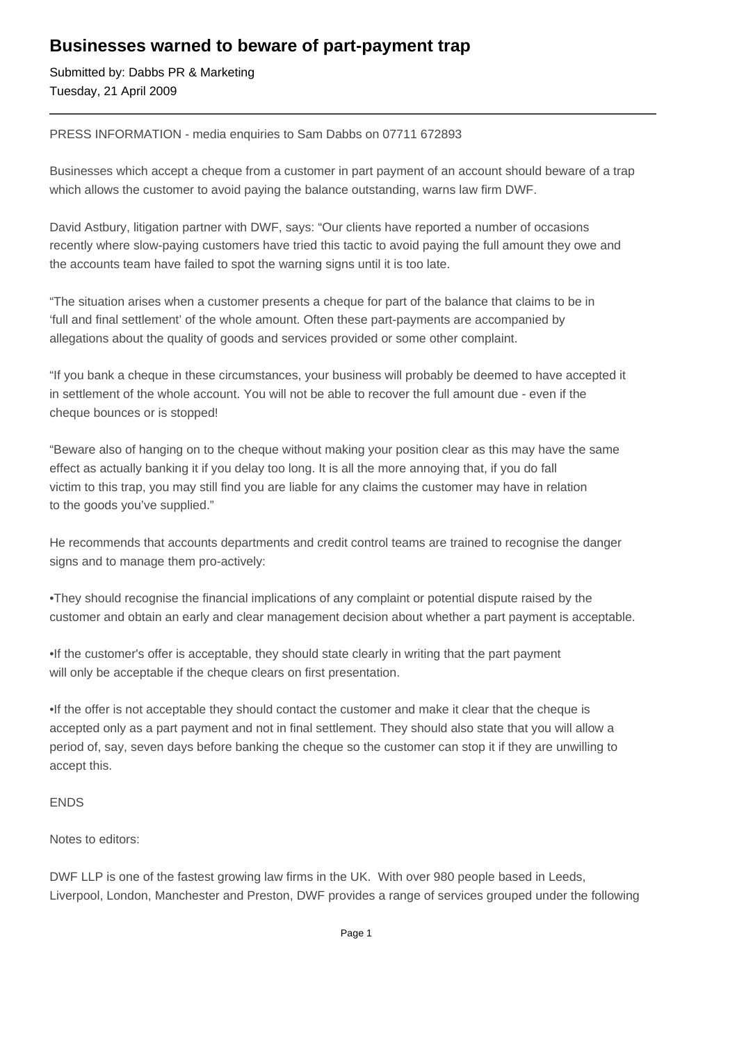## **Businesses warned to beware of part-payment trap**

Submitted by: Dabbs PR & Marketing Tuesday, 21 April 2009

PRESS INFORMATION - media enquiries to Sam Dabbs on 07711 672893

Businesses which accept a cheque from a customer in part payment of an account should beware of a trap which allows the customer to avoid paying the balance outstanding, warns law firm DWF.

David Astbury, litigation partner with DWF, says: "Our clients have reported a number of occasions recently where slow-paying customers have tried this tactic to avoid paying the full amount they owe and the accounts team have failed to spot the warning signs until it is too late.

"The situation arises when a customer presents a cheque for part of the balance that claims to be in 'full and final settlement' of the whole amount. Often these part-payments are accompanied by allegations about the quality of goods and services provided or some other complaint.

"If you bank a cheque in these circumstances, your business will probably be deemed to have accepted it in settlement of the whole account. You will not be able to recover the full amount due - even if the cheque bounces or is stopped!

"Beware also of hanging on to the cheque without making your position clear as this may have the same effect as actually banking it if you delay too long. It is all the more annoying that, if you do fall victim to this trap, you may still find you are liable for any claims the customer may have in relation to the goods you've supplied."

He recommends that accounts departments and credit control teams are trained to recognise the danger signs and to manage them pro-actively:

• They should recognise the financial implications of any complaint or potential dispute raised by the customer and obtain an early and clear management decision about whether a part payment is acceptable.

• If the customer's offer is acceptable, they should state clearly in writing that the part payment will only be acceptable if the cheque clears on first presentation.

• If the offer is not acceptable they should contact the customer and make it clear that the cheque is accepted only as a part payment and not in final settlement. They should also state that you will allow a period of, say, seven days before banking the cheque so the customer can stop it if they are unwilling to accept this.

## ENDS

Notes to editors:

DWF LLP is one of the fastest growing law firms in the UK. With over 980 people based in Leeds, Liverpool, London, Manchester and Preston, DWF provides a range of services grouped under the following